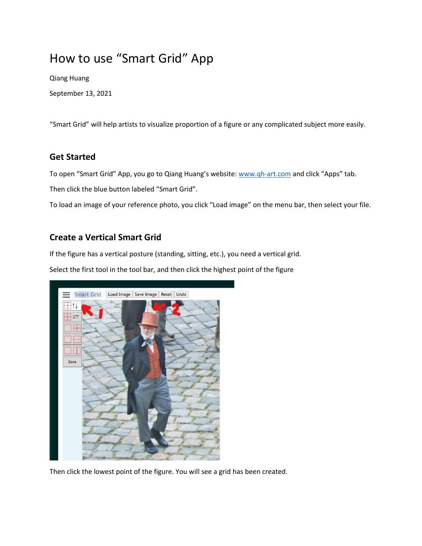# How to use "Smart Grid" App

Qiang Huang

September 13, 2021

"Smart Grid" will help artists to visualize proportion of a figure or any complicated subject more easily.

#### **Get Started**

To open "Smart Grid" App, you go to Qiang Huang's website: [www.qh-art.com](http://www.qh-art.com/) and click "Apps" tab.

Then click the blue button labeled "Smart Grid".

To load an image of your reference photo, you click "Load image" on the menu bar, then select your file.

#### **Create a Vertical Smart Grid**

If the figure has a vertical posture (standing, sitting, etc.), you need a vertical grid.

Select the first tool in the tool bar, and then click the highest point of the figure



Then click the lowest point of the figure. You will see a grid has been created.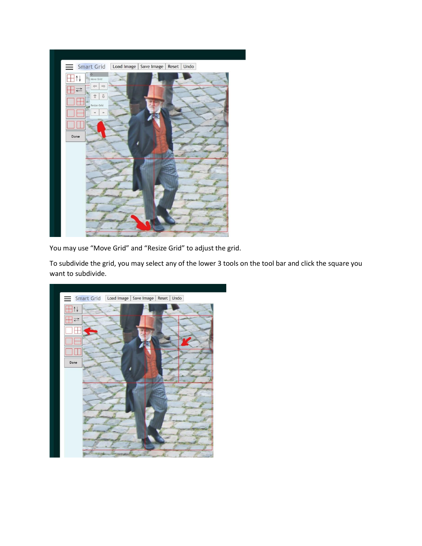

You may use "Move Grid" and "Resize Grid" to adjust the grid.

To subdivide the grid, you may select any of the lower 3 tools on the tool bar and click the square you want to subdivide.

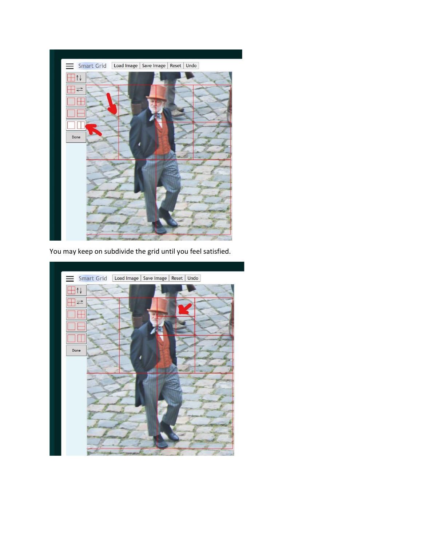

You may keep on subdivide the grid until you feel satisfied.